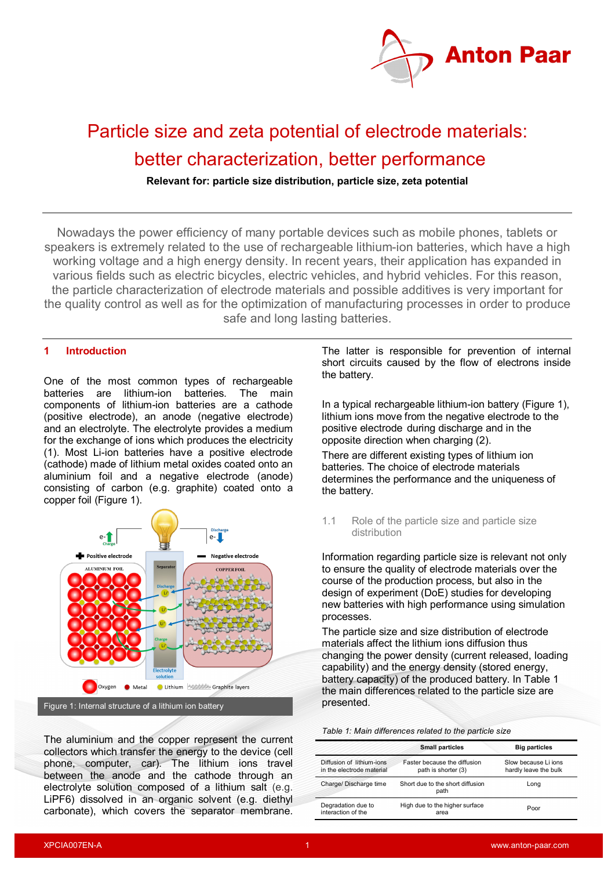

# Particle size and zeta potential of electrode materials: better characterization, better performance

**Relevant for: particle size distribution, particle size, zeta potential**

Nowadays the power efficiency of many portable devices such as mobile phones, tablets or speakers is extremely related to the use of rechargeable lithium-ion batteries, which have a high working voltage and a high energy density. In recent years, their application has expanded in various fields such as electric bicycles, electric vehicles, and hybrid vehicles. For this reason, the particle characterization of electrode materials and possible additives is very important for the quality control as well as for the optimization of manufacturing processes in order to produce safe and long lasting batteries.

#### **1 Introduction**

One of the most common types of rechargeable batteries are lithium-ion batteries. The main components of lithium-ion batteries are a cathode (positive electrode), an anode (negative electrode) and an electrolyte. The electrolyte provides a medium for the exchange of ions which produces the electricity (1). Most Li-ion batteries have a positive electrode (cathode) made of lithium metal oxides coated onto an aluminium foil and a negative electrode (anode) consisting of carbon (e.g. graphite) coated onto a copper foil (Figure 1).



Figure 1: Internal structure of a lithium ion battery

The aluminium and the copper represent the current collectors which transfer the energy to the device (cell phone, computer, car). The lithium ions travel between the anode and the cathode through an electrolyte solution composed of a lithium salt (e.g. LiPF6) dissolved in an organic solvent (e.g. diethyl carbonate), which covers the separator membrane.

The latter is responsible for prevention of internal short circuits caused by the flow of electrons inside the battery.

In a typical rechargeable lithium-ion battery (Figure 1), lithium ions move from the negative electrode to the positive electrode during discharge and in the opposite direction when charging (2).

There are different existing types of lithium ion batteries. The choice of electrode materials determines the performance and the uniqueness of the battery.

1.1 Role of the particle size and particle size distribution

Information regarding particle size is relevant not only to ensure the quality of electrode materials over the course of the production process, but also in the design of experiment (DoE) studies for developing new batteries with high performance using simulation processes.

The particle size and size distribution of electrode materials affect the lithium ions diffusion thus changing the power density (current released, loading capability) and the energy density (stored energy, battery capacity) of the produced battery. In Table 1 the main differences related to the particle size are presented.

| Table 1: Main differences related to the particle size |
|--------------------------------------------------------|
|--------------------------------------------------------|

|                                                        | <b>Small particles</b>                              | <b>Big particles</b>                          |  |  |
|--------------------------------------------------------|-----------------------------------------------------|-----------------------------------------------|--|--|
| Diffusion of lithium-ions<br>in the electrode material | Faster because the diffusion<br>path is shorter (3) | Slow because Li ions<br>hardly leave the bulk |  |  |
| Charge/ Discharge time                                 | Short due to the short diffusion<br>path            | Long                                          |  |  |
| Degradation due to<br>interaction of the               | High due to the higher surface<br>area              | Poor                                          |  |  |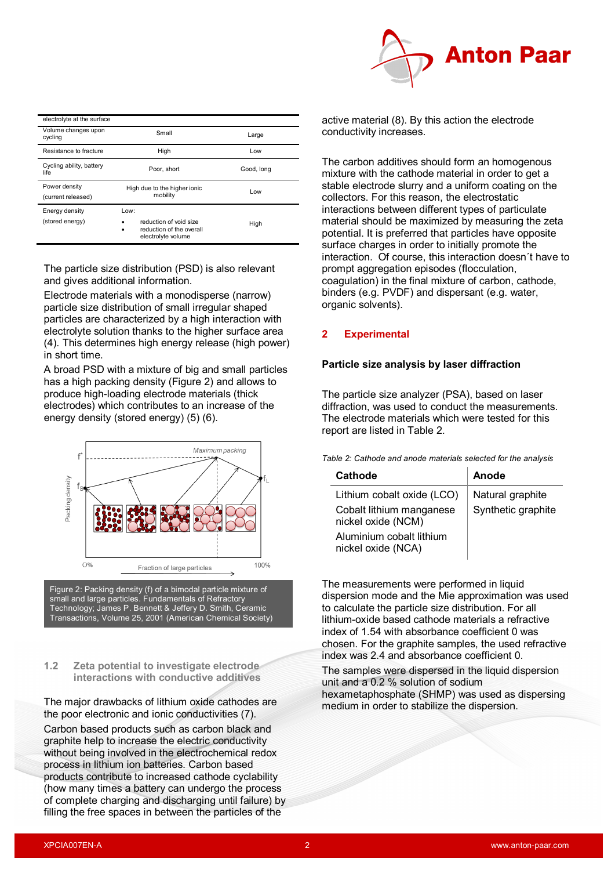

| electrolyte at the surface          |                                                                                       |            |
|-------------------------------------|---------------------------------------------------------------------------------------|------------|
| Volume changes upon<br>cycling      | Small                                                                                 | Large      |
| Resistance to fracture              | High                                                                                  | Low        |
| Cycling ability, battery<br>life    | Poor, short                                                                           | Good, long |
| Power density<br>(current released) | High due to the higher ionic<br>mobility                                              | Low        |
| Energy density<br>(stored energy)   | Low:<br>reduction of void size<br>reduction of the overall<br>٠<br>electrolyte volume | High       |

The particle size distribution (PSD) is also relevant and gives additional information.

Electrode materials with a monodisperse (narrow) particle size distribution of small irregular shaped particles are characterized by a high interaction with electrolyte solution thanks to the higher surface area (4). This determines high energy release (high power) in short time.

A broad PSD with a mixture of big and small particles has a high packing density (Figure 2) and allows to produce high-loading electrode materials (thick electrodes) which contributes to an increase of the energy density (stored energy) (5) (6).



Figure 2: Packing density (f) of a bimodal particle mixture of small and large particles. Fundamentals of Refractory Technology; James P. Bennett & Jeffery D. Smith, Ceramic Transactions, Volume 25, 2001 (American Chemical Society)

#### **1.2 Zeta potential to investigate electrode interactions with conductive additives**

The major drawbacks of lithium oxide cathodes are the poor electronic and ionic conductivities (7).

Carbon based products such as carbon black and graphite help to increase the electric conductivity without being involved in the electrochemical redox process in lithium ion batteries. Carbon based products contribute to increased cathode cyclability (how many times a battery can undergo the process of complete charging and discharging until failure) by filling the free spaces in between the particles of the

active material (8). By this action the electrode conductivity increases.

The carbon additives should form an homogenous mixture with the cathode material in order to get a stable electrode slurry and a uniform coating on the collectors. For this reason, the electrostatic interactions between different types of particulate material should be maximized by measuring the zeta potential. It is preferred that particles have opposite surface charges in order to initially promote the interaction. Of course, this interaction doesn´t have to prompt aggregation episodes (flocculation, coagulation) in the final mixture of carbon, cathode, binders (e.g. PVDF) and dispersant (e.g. water, organic solvents).

## **2 Experimental**

## **Particle size analysis by laser diffraction**

The particle size analyzer (PSA), based on laser diffraction, was used to conduct the measurements. The electrode materials which were tested for this report are listed in Table 2.

*Table 2: Cathode and anode materials selected for the analysis*

| Cathode                                        | Anode              |
|------------------------------------------------|--------------------|
| Lithium cobalt oxide (LCO)                     | Natural graphite   |
| Cobalt lithium manganese<br>nickel oxide (NCM) | Synthetic graphite |
| Aluminium cobalt lithium<br>nickel oxide (NCA) |                    |

The measurements were performed in liquid dispersion mode and the Mie approximation was used to calculate the particle size distribution. For all lithium-oxide based cathode materials a refractive index of 1.54 with absorbance coefficient 0 was chosen. For the graphite samples, the used refractive index was 2.4 and absorbance coefficient 0.

The samples were dispersed in the liquid dispersion unit and a 0.2 % solution of sodium hexametaphosphate (SHMP) was used as dispersing medium in order to stabilize the dispersion.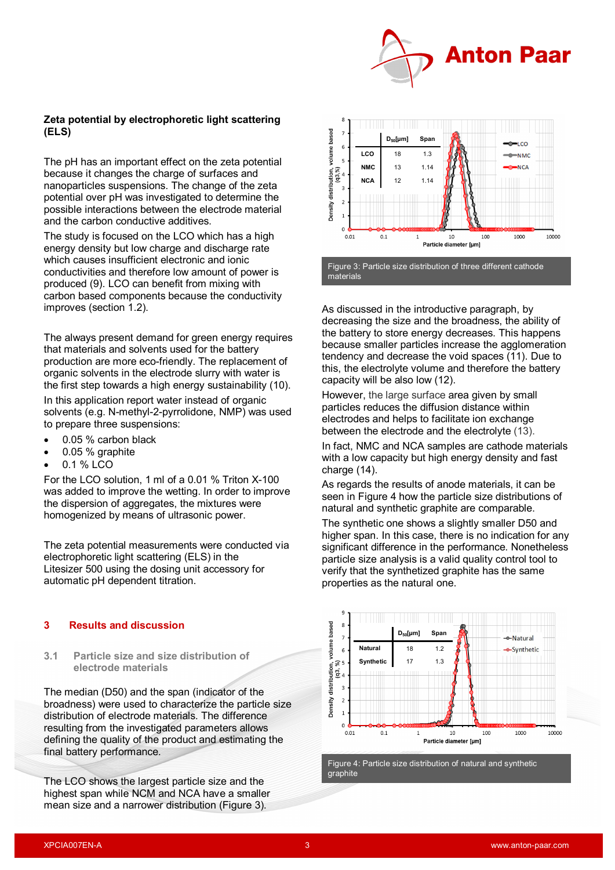

### **Zeta potential by electrophoretic light scattering (ELS)**

The pH has an important effect on the zeta potential because it changes the charge of surfaces and nanoparticles suspensions. The change of the zeta potential over pH was investigated to determine the possible interactions between the electrode material and the carbon conductive additives.

The study is focused on the LCO which has a high energy density but low charge and discharge rate which causes insufficient electronic and ionic conductivities and therefore low amount of power is produced (9). LCO can benefit from mixing with carbon based components because the conductivity improves (section 1.2).

The always present demand for green energy requires that materials and solvents used for the battery production are more eco-friendly. The replacement of organic solvents in the electrode slurry with water is the first step towards a high energy sustainability (10).

In this application report water instead of organic solvents (e.g. N-methyl-2-pyrrolidone, NMP) was used to prepare three suspensions:

- 0.05 % carbon black
- 0.05 % graphite
- 0.1 % LCO

For the LCO solution, 1 ml of a 0.01 % Triton X-100 was added to improve the wetting. In order to improve the dispersion of aggregates, the mixtures were homogenized by means of ultrasonic power.

The zeta potential measurements were conducted via electrophoretic light scattering (ELS) in the Litesizer 500 using the dosing unit accessory for automatic pH dependent titration.

#### **3 Results and discussion**

**3.1 Particle size and size distribution of electrode materials**

The median (D50) and the span (indicator of the broadness) were used to characterize the particle size distribution of electrode materials. The difference resulting from the investigated parameters allows defining the quality of the product and estimating the final battery performance.

The LCO shows the largest particle size and the highest span while NCM and NCA have a smaller mean size and a narrower distribution (Figure 3).



As discussed in the introductive paragraph, by decreasing the size and the broadness, the ability of the battery to store energy decreases. This happens because smaller particles increase the agglomeration tendency and decrease the void spaces (11). Due to this, the electrolyte volume and therefore the battery capacity will be also low (12).

However, the large surface area given by small particles reduces the diffusion distance within electrodes and helps to facilitate ion exchange between the electrode and the electrolyte (13).

In fact, NMC and NCA samples are cathode materials with a low capacity but high energy density and fast charge (14).

As regards the results of anode materials, it can be seen in Figure 4 how the particle size distributions of natural and synthetic graphite are comparable.

The synthetic one shows a slightly smaller D50 and higher span. In this case, there is no indication for any significant difference in the performance. Nonetheless particle size analysis is a valid quality control tool to verify that the synthetized graphite has the same properties as the natural one.



Figure 4: Particle size distribution of natural and synthetic graphite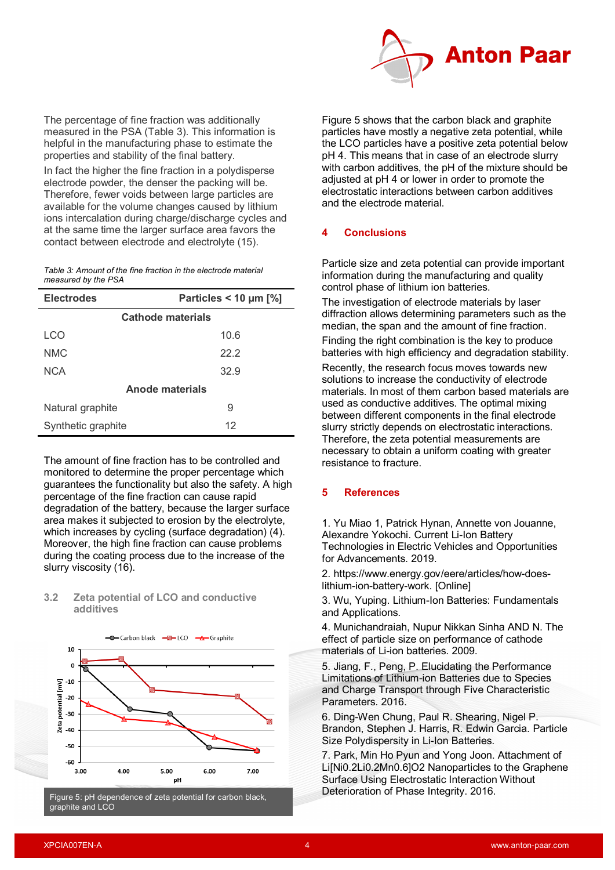

The percentage of fine fraction was additionally measured in the PSA (Table 3). This information is helpful in the manufacturing phase to estimate the properties and stability of the final battery.

In fact the higher the fine fraction in a polydisperse electrode powder, the denser the packing will be. Therefore, fewer voids between large particles are available for the volume changes caused by lithium ions intercalation during charge/discharge cycles and at the same time the larger surface area favors the contact between electrode and electrolyte (15).

*Table 3: Amount of the fine fraction in the electrode material measured by the PSA*

| <b>Electrodes</b>        | Particles < 10 $\mu$ m [%] |  |  |  |  |  |
|--------------------------|----------------------------|--|--|--|--|--|
| <b>Cathode materials</b> |                            |  |  |  |  |  |
| LCO                      | 10.6                       |  |  |  |  |  |
| NMC                      | 22.2                       |  |  |  |  |  |
| <b>NCA</b>               | 32.9                       |  |  |  |  |  |
| Anode materials          |                            |  |  |  |  |  |
| Natural graphite         | 9                          |  |  |  |  |  |
| Synthetic graphite       | 12                         |  |  |  |  |  |

The amount of fine fraction has to be controlled and monitored to determine the proper percentage which guarantees the functionality but also the safety. A high percentage of the fine fraction can cause rapid degradation of the battery, because the larger surface area makes it subjected to erosion by the electrolyte, which increases by cycling (surface degradation) (4). Moreover, the high fine fraction can cause problems during the coating process due to the increase of the slurry viscosity (16).

| 10                                                                                                                                                |  |  |
|---------------------------------------------------------------------------------------------------------------------------------------------------|--|--|
| $\mathbf 0$                                                                                                                                       |  |  |
|                                                                                                                                                   |  |  |
| $zeta$ potential $\begin{bmatrix} mV \end{bmatrix}$<br>$\begin{bmatrix} \frac{1}{12} & \frac{1}{12} \\ \frac{1}{12} & \frac{1}{12} \end{bmatrix}$ |  |  |
|                                                                                                                                                   |  |  |
|                                                                                                                                                   |  |  |
|                                                                                                                                                   |  |  |
|                                                                                                                                                   |  |  |
| $-50$                                                                                                                                             |  |  |
| $-60$                                                                                                                                             |  |  |
|                                                                                                                                                   |  |  |

#### **3.2 Zeta potential of LCO and conductive additives**

Figure 5: pH dependence of zeta potential for carbon black, graphite and LCO

Figure 5 shows that the carbon black and graphite particles have mostly a negative zeta potential, while the LCO particles have a positive zeta potential below pH 4. This means that in case of an electrode slurry with carbon additives, the pH of the mixture should be adjusted at pH 4 or lower in order to promote the electrostatic interactions between carbon additives and the electrode material.

## **4 Conclusions**

Particle size and zeta potential can provide important information during the manufacturing and quality control phase of lithium ion batteries.

The investigation of electrode materials by laser diffraction allows determining parameters such as the median, the span and the amount of fine fraction.

Finding the right combination is the key to produce batteries with high efficiency and degradation stability.

Recently, the research focus moves towards new solutions to increase the conductivity of electrode materials. In most of them carbon based materials are used as conductive additives. The optimal mixing between different components in the final electrode slurry strictly depends on electrostatic interactions. Therefore, the zeta potential measurements are necessary to obtain a uniform coating with greater resistance to fracture.

## **5 References**

1. Yu Miao 1, Patrick Hynan, Annette von Jouanne, Alexandre Yokochi. Current Li-Ion Battery Technologies in Electric Vehicles and Opportunities for Advancements. 2019.

2. https://www.energy.gov/eere/articles/how-doeslithium-ion-battery-work. [Online]

3. Wu, Yuping. Lithium-Ion Batteries: Fundamentals and Applications.

4. Munichandraiah, Nupur Nikkan Sinha AND N. The effect of particle size on performance of cathode materials of Li-ion batteries. 2009.

5. Jiang, F., Peng, P. Elucidating the Performance Limitations of Lithium-ion Batteries due to Species and Charge Transport through Five Characteristic Parameters. 2016.

6. Ding-Wen Chung, Paul R. Shearing, Nigel P. Brandon, Stephen J. Harris, R. Edwin Garcia. Particle Size Polydispersity in Li-Ion Batteries.

7. Park, Min Ho Pyun and Yong Joon. Attachment of Li[Ni0.2Li0.2Mn0.6]O2 Nanoparticles to the Graphene Surface Using Electrostatic Interaction Without Deterioration of Phase Integrity. 2016.